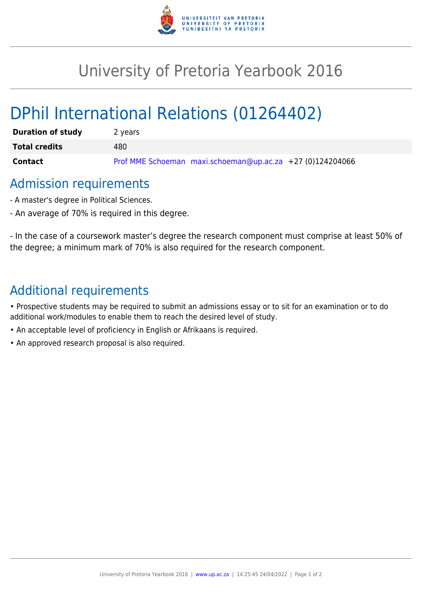

## University of Pretoria Yearbook 2016

# DPhil International Relations (01264402)

| <b>Duration of study</b> | 2 years                                                   |
|--------------------------|-----------------------------------------------------------|
| <b>Total credits</b>     | 480                                                       |
| Contact                  | Prof MME Schoeman maxi.schoeman@up.ac.za +27 (0)124204066 |

#### Admission requirements

- A master's degree in Political Sciences.
- An average of 70% is required in this degree.

- In the case of a coursework master's degree the research component must comprise at least 50% of the degree; a minimum mark of 70% is also required for the research component.

### Additional requirements

• Prospective students may be required to submit an admissions essay or to sit for an examination or to do additional work/modules to enable them to reach the desired level of study.

- An acceptable level of proficiency in English or Afrikaans is required.
- An approved research proposal is also required.